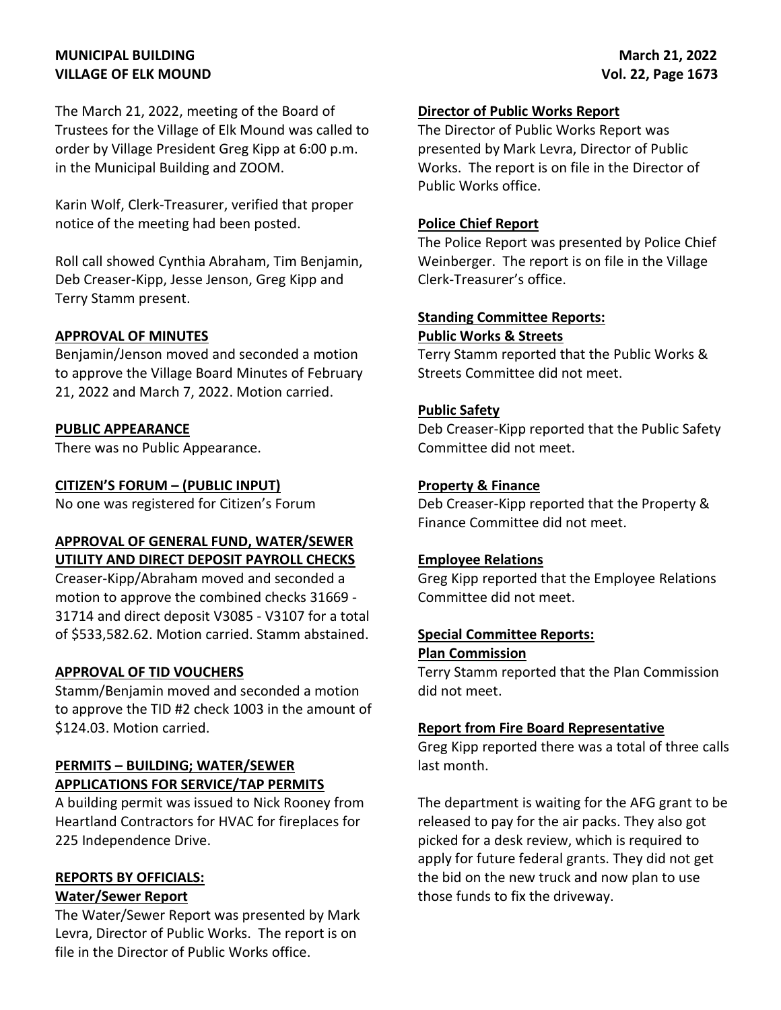## **MUNICIPAL BUILDING VILLAGE OF ELK MOUND**

The March 21, 2022, meeting of the Board of Trustees for the Village of Elk Mound was called to order by Village President Greg Kipp at 6:00 p.m. in the Municipal Building and ZOOM.

Karin Wolf, Clerk-Treasurer, verified that proper notice of the meeting had been posted.

Roll call showed Cynthia Abraham, Tim Benjamin, Deb Creaser-Kipp, Jesse Jenson, Greg Kipp and Terry Stamm present.

### **APPROVAL OF MINUTES**

Benjamin/Jenson moved and seconded a motion to approve the Village Board Minutes of February 21, 2022 and March 7, 2022. Motion carried.

#### **PUBLIC APPEARANCE**

There was no Public Appearance.

#### **CITIZEN'S FORUM – (PUBLIC INPUT)**

No one was registered for Citizen's Forum

### **APPROVAL OF GENERAL FUND, WATER/SEWER UTILITY AND DIRECT DEPOSIT PAYROLL CHECKS**

Creaser-Kipp/Abraham moved and seconded a motion to approve the combined checks 31669 - 31714 and direct deposit V3085 - V3107 for a total of \$533,582.62. Motion carried. Stamm abstained.

#### **APPROVAL OF TID VOUCHERS**

Stamm/Benjamin moved and seconded a motion to approve the TID #2 check 1003 in the amount of \$124.03. Motion carried.

### **PERMITS – BUILDING; WATER/SEWER APPLICATIONS FOR SERVICE/TAP PERMITS**

A building permit was issued to Nick Rooney from Heartland Contractors for HVAC for fireplaces for 225 Independence Drive.

### **REPORTS BY OFFICIALS: Water/Sewer Report**

The Water/Sewer Report was presented by Mark Levra, Director of Public Works. The report is on file in the Director of Public Works office.

#### **Director of Public Works Report**

The Director of Public Works Report was presented by Mark Levra, Director of Public Works. The report is on file in the Director of Public Works office.

#### **Police Chief Report**

The Police Report was presented by Police Chief Weinberger. The report is on file in the Village Clerk-Treasurer's office.

#### **Standing Committee Reports: Public Works & Streets**

Terry Stamm reported that the Public Works & Streets Committee did not meet.

### **Public Safety**

Deb Creaser-Kipp reported that the Public Safety Committee did not meet.

### **Property & Finance**

Deb Creaser-Kipp reported that the Property & Finance Committee did not meet.

#### **Employee Relations**

Greg Kipp reported that the Employee Relations Committee did not meet.

### **Special Committee Reports:**

#### **Plan Commission**

Terry Stamm reported that the Plan Commission did not meet.

#### **Report from Fire Board Representative**

Greg Kipp reported there was a total of three calls last month.

The department is waiting for the AFG grant to be released to pay for the air packs. They also got picked for a desk review, which is required to apply for future federal grants. They did not get the bid on the new truck and now plan to use those funds to fix the driveway.